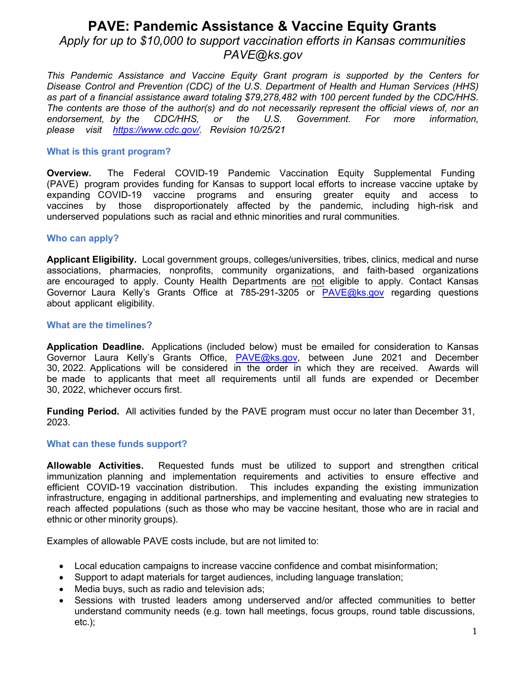## **PAVE: Pandemic Assistance & Vaccine Equity Grants**  *Apply for up to \$10,000 to support vaccination efforts in Kansas communities PAVE@ks.gov*

*This Pandemic Assistance and Vaccine Equity Grant program is supported by the Centers for Disease Control and Prevention (CDC) of the U.S. Department of Health and Human Services (HHS) as part of a financial assistance award totaling \$79,278,482 with 100 percent funded by the CDC/HHS.*  The contents are those of the author(s) and do not necessarily represent the official views of, nor an endorsement. by the CDC/HHS. or the U.S. Government. For more information. *<u>Government.</u> For more please visit [https://www.cdc.gov/.](https://www.cdc.gov/) Revision 10/25/21*

### **What is this grant program?**

**Overview.** The Federal COVID-19 Pandemic Vaccination Equity Supplemental Funding (PAVE) program provides funding for Kansas to support local efforts to increase vaccine uptake by expanding COVID-19 vaccine programs and ensuring greater equity and access to vaccines by those disproportionately affected by the pandemic, including high-risk and underserved populations such as racial and ethnic minorities and rural communities.

### **Who can apply?**

**Applicant Eligibility.** Local government groups, colleges/universities, tribes, clinics, medical and nurse associations, pharmacies, nonprofits, community organizations, and faith-based organizations are encouraged to apply. County Health Departments are not eligible to apply. Contact Kansas Governor Laura Kelly's Grants Office at 785-291-3205 or PAVE@ks.gov regarding questions about applicant eligibility.

### **What are the timelines?**

**Application Deadline.** Applications (included below) must be emailed for consideration to Kansas Governor Laura Kelly's Grants Office, **PAVE@ks.gov**, between June 2021 and December 30, 2022. Applications will be considered in the order in which they are received. Awards will be made to applicants that meet all requirements until all funds are expended or December 30, 2022, whichever occurs first.

**Funding Period.** All activities funded by the PAVE program must occur no later than December 31, 2023.

### **What can these funds support?**

**Allowable Activities.** Requested funds must be utilized to support and strengthen critical immunization planning and implementation requirements and activities to ensure effective and efficient COVID-19 vaccination distribution. This includes expanding the existing immunization infrastructure, engaging in additional partnerships, and implementing and evaluating new strategies to reach affected populations (such as those who may be vaccine hesitant, those who are in racial and ethnic or other minority groups).

Examples of allowable PAVE costs include, but are not limited to:

- Local education campaigns to increase vaccine confidence and combat misinformation;
- Support to adapt materials for target audiences, including language translation;
- Media buys, such as radio and television ads;
- Sessions with trusted leaders among underserved and/or affected communities to better understand community needs (e.g. town hall meetings, focus groups, round table discussions, etc.);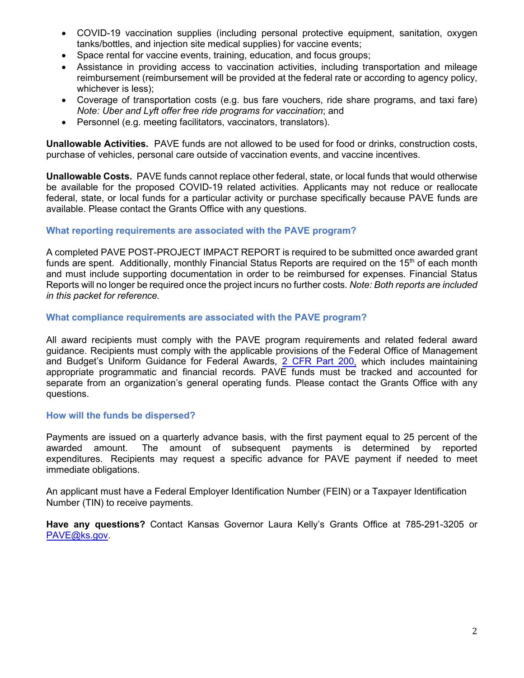- COVID-19 vaccination supplies (including personal protective equipment, sanitation, oxygen tanks/bottles, and injection site medical supplies) for vaccine events;
- Space rental for vaccine events, training, education, and focus groups;
- Assistance in providing access to vaccination activities, including transportation and mileage reimbursement (reimbursement will be provided at the federal rate or according to agency policy, whichever is less);
- Coverage of transportation costs (e.g. bus fare vouchers, ride share programs, and taxi fare) *Note: Uber and Lyft offer free ride programs for vaccination*; and
- Personnel (e.g. meeting facilitators, vaccinators, translators).

**Unallowable Activities.** PAVE funds are not allowed to be used for food or drinks, construction costs, purchase of vehicles, personal care outside of vaccination events, and vaccine incentives.

**Unallowable Costs.** PAVE funds cannot replace other federal, state, or local funds that would otherwise be available for the proposed COVID-19 related activities. Applicants may not reduce or reallocate federal, state, or local funds for a particular activity or purchase specifically because PAVE funds are available. Please contact the Grants Office with any questions.

### **What reporting requirements are associated with the PAVE program?**

A completed PAVE POST-PROJECT IMPACT REPORT is required to be submitted once awarded grant funds are spent. Additionally, monthly Financial Status Reports are required on the  $15<sup>th</sup>$  of each month and must include supporting documentation in order to be reimbursed for expenses. Financial Status Reports will no longer be required once the project incurs no further costs. *Note: Both reports are included in this packet for reference.*

### **What compliance requirements are associated with the PAVE program?**

All award recipients must comply with the PAVE program requirements and related federal award guidance. Recipients must comply with the applicable provisions of the Federal Office of Management and Budget's Uniform Guidance for Federal Awards[, 2 CFR Part 200,](http://www.ecfr.gov/cgi-bin/text-idx?SID=2c6d1c9f8de1f9619110b4599d84a234&mc=true&node=pt2.1.200&rgn=div5#_top) which includes maintaining appropriate programmatic and financial records. PAVE funds must be tracked and accounted for separate from an organization's general operating funds. Please contact the Grants Office with any questions.

### **How will the funds be dispersed?**

Payments are issued on a quarterly advance basis, with the first payment equal to 25 percent of the awarded amount. The amount of subsequent payments is determined by reported expenditures. Recipients may request a specific advance for PAVE payment if needed to meet immediate obligations.

An applicant must have a Federal Employer Identification Number (FEIN) or a Taxpayer Identification Number (TIN) to receive payments.

**Have any questions?** Contact Kansas Governor Laura Kelly's Grants Office at 785-291-3205 or [PAVE@ks.gov.](mailto:PAVE@ks.gov)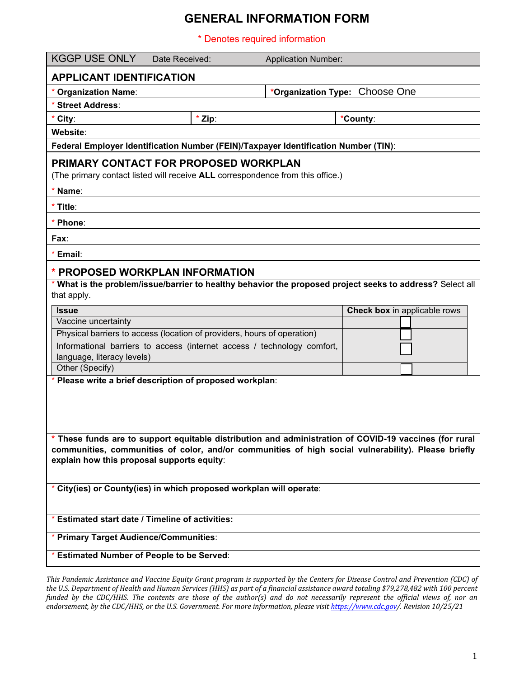### **GENERAL INFORMATION FORM**

\* Denotes required information

| <b>KGGP USE ONLY</b><br>Date Received:                                                                                                                                                                                                                      | <b>Application Number:</b> |                                |  |  |  |  |  |  |
|-------------------------------------------------------------------------------------------------------------------------------------------------------------------------------------------------------------------------------------------------------------|----------------------------|--------------------------------|--|--|--|--|--|--|
| <b>APPLICANT IDENTIFICATION</b>                                                                                                                                                                                                                             |                            |                                |  |  |  |  |  |  |
| * Organization Name:                                                                                                                                                                                                                                        |                            | *Organization Type: Choose One |  |  |  |  |  |  |
| <b>Street Address:</b>                                                                                                                                                                                                                                      |                            |                                |  |  |  |  |  |  |
| * Zip:<br>* City:                                                                                                                                                                                                                                           |                            | *County:                       |  |  |  |  |  |  |
| Website:                                                                                                                                                                                                                                                    |                            |                                |  |  |  |  |  |  |
| Federal Employer Identification Number (FEIN)/Taxpayer Identification Number (TIN):                                                                                                                                                                         |                            |                                |  |  |  |  |  |  |
| PRIMARY CONTACT FOR PROPOSED WORKPLAN                                                                                                                                                                                                                       |                            |                                |  |  |  |  |  |  |
| (The primary contact listed will receive ALL correspondence from this office.)                                                                                                                                                                              |                            |                                |  |  |  |  |  |  |
| Name:                                                                                                                                                                                                                                                       |                            |                                |  |  |  |  |  |  |
| * Title:                                                                                                                                                                                                                                                    |                            |                                |  |  |  |  |  |  |
| Phone:                                                                                                                                                                                                                                                      |                            |                                |  |  |  |  |  |  |
| Fax∶                                                                                                                                                                                                                                                        |                            |                                |  |  |  |  |  |  |
| Email:                                                                                                                                                                                                                                                      |                            |                                |  |  |  |  |  |  |
| * PROPOSED WORKPLAN INFORMATION                                                                                                                                                                                                                             |                            |                                |  |  |  |  |  |  |
| * What is the problem/issue/barrier to healthy behavior the proposed project seeks to address? Select all                                                                                                                                                   |                            |                                |  |  |  |  |  |  |
| that apply.                                                                                                                                                                                                                                                 |                            |                                |  |  |  |  |  |  |
| <b>Issue</b>                                                                                                                                                                                                                                                |                            | Check box in applicable rows   |  |  |  |  |  |  |
| Vaccine uncertainty                                                                                                                                                                                                                                         |                            |                                |  |  |  |  |  |  |
| Physical barriers to access (location of providers, hours of operation)                                                                                                                                                                                     |                            |                                |  |  |  |  |  |  |
| Informational barriers to access (internet access / technology comfort,                                                                                                                                                                                     |                            |                                |  |  |  |  |  |  |
| language, literacy levels)<br>Other (Specify)                                                                                                                                                                                                               |                            |                                |  |  |  |  |  |  |
| * Please write a brief description of proposed workplan:                                                                                                                                                                                                    |                            |                                |  |  |  |  |  |  |
|                                                                                                                                                                                                                                                             |                            |                                |  |  |  |  |  |  |
| * These funds are to support equitable distribution and administration of COVID-19 vaccines (for rural<br>communities, communities of color, and/or communities of high social vulnerability). Please briefly<br>explain how this proposal supports equity: |                            |                                |  |  |  |  |  |  |
| * City(ies) or County(ies) in which proposed workplan will operate:                                                                                                                                                                                         |                            |                                |  |  |  |  |  |  |
| * Estimated start date / Timeline of activities:                                                                                                                                                                                                            |                            |                                |  |  |  |  |  |  |
| * Primary Target Audience/Communities:                                                                                                                                                                                                                      |                            |                                |  |  |  |  |  |  |
| * Estimated Number of People to be Served:                                                                                                                                                                                                                  |                            |                                |  |  |  |  |  |  |

*This Pandemic Assistance and Vaccine Equity Grant program is supported by the Centers for Disease Control and Prevention (CDC) of the U.S. Department of Health and Human Services (HHS) as part of a financial assistance award totaling \$79,278,482 with 100 percent funded by the CDC/HHS. The contents are those of the author(s) and do not necessarily represent the official views of, nor an endorsement, by the CDC/HHS, or the U.S. Government. For more information, please visit [https://www.cdc.gov/.](https://www.cdc.gov/) Revision 10/25/21*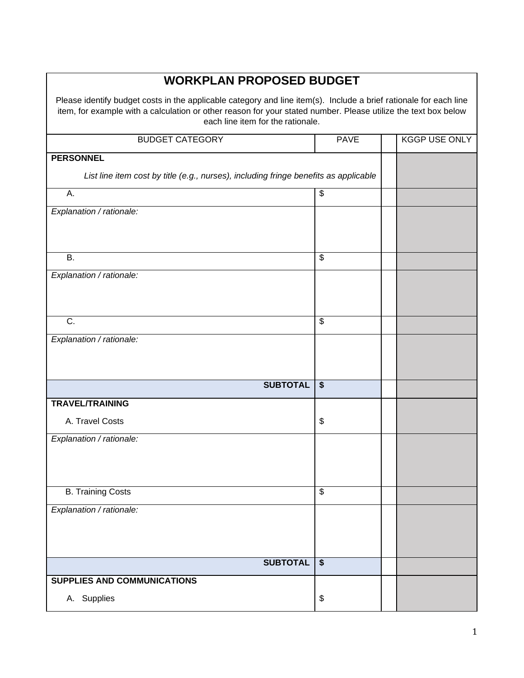# **WORKPLAN PROPOSED BUDGET**

Please identify budget costs in the applicable category and line item(s). Include a brief rationale for each line item, for example with a calculation or other reason for your stated number. Please utilize the text box below each line item for the rationale.

| <b>BUDGET CATEGORY</b>                                                               | <b>PAVE</b>              | KGGP USE ONLY |
|--------------------------------------------------------------------------------------|--------------------------|---------------|
| <b>PERSONNEL</b>                                                                     |                          |               |
| List line item cost by title (e.g., nurses), including fringe benefits as applicable |                          |               |
| Α.                                                                                   | \$                       |               |
| Explanation / rationale:                                                             |                          |               |
|                                                                                      |                          |               |
| <b>B.</b>                                                                            | $\overline{\mathcal{S}}$ |               |
|                                                                                      |                          |               |
| Explanation / rationale:                                                             |                          |               |
|                                                                                      |                          |               |
| $\overline{C}$ .                                                                     | $\overline{\$}$          |               |
|                                                                                      |                          |               |
| Explanation / rationale:                                                             |                          |               |
|                                                                                      |                          |               |
| <b>SUBTOTAL</b>                                                                      | $\overline{\bullet}$     |               |
| <b>TRAVEL/TRAINING</b>                                                               |                          |               |
|                                                                                      |                          |               |
| A. Travel Costs                                                                      | \$                       |               |
| Explanation / rationale:                                                             |                          |               |
|                                                                                      |                          |               |
|                                                                                      |                          |               |
| <b>B. Training Costs</b>                                                             | $\overline{\mathbf{e}}$  |               |
| Explanation / rationale:                                                             |                          |               |
|                                                                                      |                          |               |
|                                                                                      |                          |               |
| <b>SUBTOTAL</b>                                                                      | $\overline{\bullet}$     |               |
| SUPPLIES AND COMMUNICATIONS                                                          |                          |               |
| A. Supplies                                                                          | \$                       |               |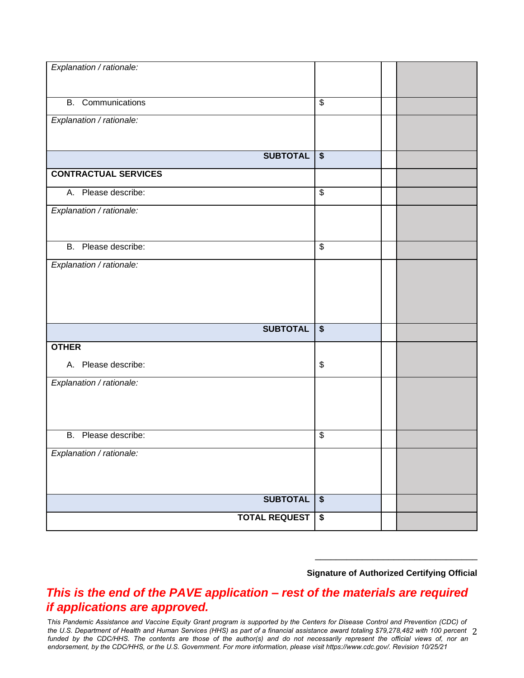| Explanation / rationale:    |                           |  |
|-----------------------------|---------------------------|--|
|                             |                           |  |
|                             |                           |  |
|                             |                           |  |
| <b>B.</b> Communications    | $\overline{\$}$           |  |
|                             |                           |  |
| Explanation / rationale:    |                           |  |
|                             |                           |  |
|                             |                           |  |
|                             |                           |  |
| <b>SUBTOTAL</b>             | $\boldsymbol{\mathsf{s}}$ |  |
|                             |                           |  |
| <b>CONTRACTUAL SERVICES</b> |                           |  |
|                             |                           |  |
| A. Please describe:         | $\overline{\mathbf{e}}$   |  |
|                             |                           |  |
| Explanation / rationale:    |                           |  |
|                             |                           |  |
|                             |                           |  |
| B. Please describe:         | $\overline{\mathbf{S}}$   |  |
|                             |                           |  |
| Explanation / rationale:    |                           |  |
|                             |                           |  |
|                             |                           |  |
|                             |                           |  |
|                             |                           |  |
|                             |                           |  |
|                             |                           |  |
| <b>SUBTOTAL</b>             | $\overline{\bullet}$      |  |
|                             |                           |  |
| <b>OTHER</b>                |                           |  |
|                             |                           |  |
| A. Please describe:         | \$                        |  |
|                             |                           |  |
| Explanation / rationale:    |                           |  |
|                             |                           |  |
|                             |                           |  |
|                             |                           |  |
|                             |                           |  |
|                             |                           |  |
| B. Please describe:         | \$                        |  |
|                             |                           |  |
| Explanation / rationale:    |                           |  |
|                             |                           |  |
|                             |                           |  |
|                             |                           |  |
|                             |                           |  |
| <b>SUBTOTAL</b>             | $\bullet$                 |  |
|                             |                           |  |
| <b>TOTAL REQUEST</b>        | $\bullet$                 |  |
|                             |                           |  |

#### **Signature of Authorized Certifying Official**

\_\_\_\_\_\_\_\_\_\_\_\_\_\_\_\_\_\_\_\_\_\_\_\_\_\_\_\_\_\_\_

### *This is the end of the PAVE application – rest of the materials are required if applications are approved.*

the U.S. Department of Health and Human Services (HHS) as part of a financial assistance award totaling \$79,278,482 with 100 percent 2 T*his Pandemic Assistance and Vaccine Equity Grant program is supported by the Centers for Disease Control and Prevention (CDC) of funded by the CDC/HHS. The contents are those of the author(s) and do not necessarily represent the official views of, nor an endorsement, by the CDC/HHS, or the U.S. Government. For more information, please visit<https://www.cdc.gov/>. Revision 10/25/21*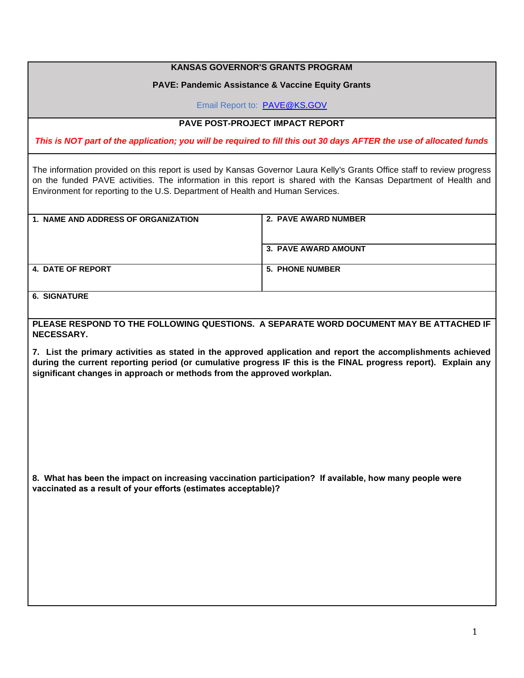| <b>KANSAS GOVERNOR'S GRANTS PROGRAM</b>                                                                                                                                                                                                                                                                                       |                                                                                        |  |  |  |  |  |  |  |
|-------------------------------------------------------------------------------------------------------------------------------------------------------------------------------------------------------------------------------------------------------------------------------------------------------------------------------|----------------------------------------------------------------------------------------|--|--|--|--|--|--|--|
|                                                                                                                                                                                                                                                                                                                               | <b>PAVE: Pandemic Assistance &amp; Vaccine Equity Grants</b>                           |  |  |  |  |  |  |  |
| Email Report to: PAVE@KS.GOV                                                                                                                                                                                                                                                                                                  |                                                                                        |  |  |  |  |  |  |  |
| <b>PAVE POST-PROJECT IMPACT REPORT</b>                                                                                                                                                                                                                                                                                        |                                                                                        |  |  |  |  |  |  |  |
| This is NOT part of the application; you will be required to fill this out 30 days AFTER the use of allocated funds                                                                                                                                                                                                           |                                                                                        |  |  |  |  |  |  |  |
| The information provided on this report is used by Kansas Governor Laura Kelly's Grants Office staff to review progress<br>on the funded PAVE activities. The information in this report is shared with the Kansas Department of Health and<br>Environment for reporting to the U.S. Department of Health and Human Services. |                                                                                        |  |  |  |  |  |  |  |
| 1. NAME AND ADDRESS OF ORGANIZATION                                                                                                                                                                                                                                                                                           | 2. PAVE AWARD NUMBER                                                                   |  |  |  |  |  |  |  |
|                                                                                                                                                                                                                                                                                                                               | 3. PAVE AWARD AMOUNT                                                                   |  |  |  |  |  |  |  |
| <b>4. DATE OF REPORT</b>                                                                                                                                                                                                                                                                                                      | <b>5. PHONE NUMBER</b>                                                                 |  |  |  |  |  |  |  |
| <b>6. SIGNATURE</b>                                                                                                                                                                                                                                                                                                           |                                                                                        |  |  |  |  |  |  |  |
| NECESSARY.                                                                                                                                                                                                                                                                                                                    | PLEASE RESPOND TO THE FOLLOWING QUESTIONS. A SEPARATE WORD DOCUMENT MAY BE ATTACHED IF |  |  |  |  |  |  |  |
| 7. List the primary activities as stated in the approved application and report the accomplishments achieved<br>during the current reporting period (or cumulative progress IF this is the FINAL progress report). Explain any<br>significant changes in approach or methods from the approved workplan.                      |                                                                                        |  |  |  |  |  |  |  |
|                                                                                                                                                                                                                                                                                                                               |                                                                                        |  |  |  |  |  |  |  |
|                                                                                                                                                                                                                                                                                                                               |                                                                                        |  |  |  |  |  |  |  |
|                                                                                                                                                                                                                                                                                                                               |                                                                                        |  |  |  |  |  |  |  |
| 8. What has been the impact on increasing vaccination participation? If available, how many people were<br>vaccinated as a result of your efforts (estimates acceptable)?                                                                                                                                                     |                                                                                        |  |  |  |  |  |  |  |
|                                                                                                                                                                                                                                                                                                                               |                                                                                        |  |  |  |  |  |  |  |
|                                                                                                                                                                                                                                                                                                                               |                                                                                        |  |  |  |  |  |  |  |
|                                                                                                                                                                                                                                                                                                                               |                                                                                        |  |  |  |  |  |  |  |
|                                                                                                                                                                                                                                                                                                                               |                                                                                        |  |  |  |  |  |  |  |
|                                                                                                                                                                                                                                                                                                                               |                                                                                        |  |  |  |  |  |  |  |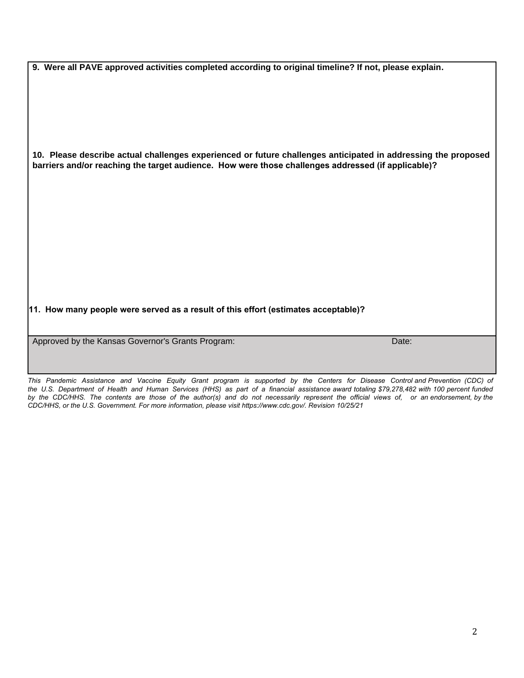**9. Were all PAVE approved activities completed according to original timeline? If not, please explain.**

**10. Please describe actual challenges experienced or future challenges anticipated in addressing the proposed barriers and/or reaching the target audience. How were those challenges addressed (if applicable)?**

**11. How many people were served as a result of this effort (estimates acceptable)?**

Approved by the Kansas Governor's Grants Program: Date: Date: Date: Date: Date:

*This Pandemic Assistance and Vaccine Equity Grant program is supported by the Centers for Disease Control and Prevention (CDC) of the U.S. Department of Health and Human Services (HHS) as part of a financial assistance award totaling \$79,278,482 with 100 percent funded by the CDC/HHS. The contents are those of the author(s) and do not necessarily represent the official views of, or an endorsement, by the CDC/HHS, or the U.S. Government. For more information, please visit <https://www.cdc.gov/>. Revision 10/25/21*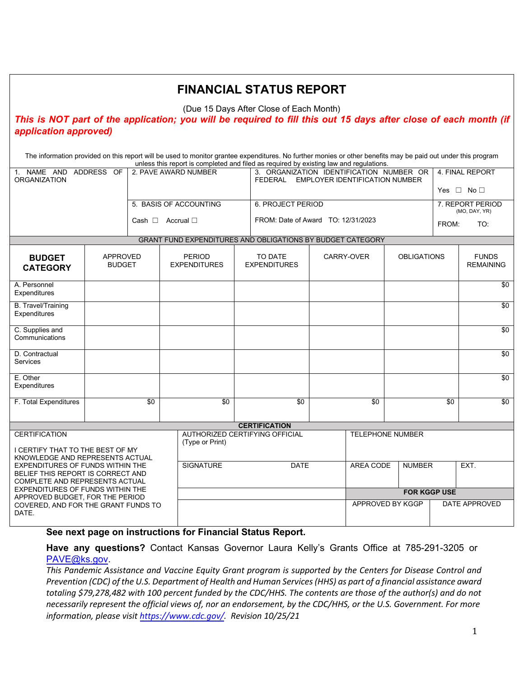|                                                                                                                                                                                      |                                  |                            |                   |                                                   |                                    | <b>FINANCIAL STATUS REPORT</b>                                                                                                                                                                                                                         |           |                  |                                  |                                         |                  |                                  |  |
|--------------------------------------------------------------------------------------------------------------------------------------------------------------------------------------|----------------------------------|----------------------------|-------------------|---------------------------------------------------|------------------------------------|--------------------------------------------------------------------------------------------------------------------------------------------------------------------------------------------------------------------------------------------------------|-----------|------------------|----------------------------------|-----------------------------------------|------------------|----------------------------------|--|
| (Due 15 Days After Close of Each Month)<br>This is NOT part of the application; you will be required to fill this out 15 days after close of each month (if<br>application approved) |                                  |                            |                   |                                                   |                                    |                                                                                                                                                                                                                                                        |           |                  |                                  |                                         |                  |                                  |  |
|                                                                                                                                                                                      |                                  |                            |                   |                                                   |                                    | The information provided on this report will be used to monitor grantee expenditures. No further monies or other benefits may be paid out under this program<br>unless this report is completed and filed as required by existing law and regulations. |           |                  |                                  |                                         |                  |                                  |  |
| 1. NAME AND ADDRESS OF<br>2. PAVE AWARD NUMBER<br><b>ORGANIZATION</b>                                                                                                                |                                  |                            |                   |                                                   |                                    | 3. ORGANIZATION IDENTIFICATION NUMBER OR<br>FEDERAL EMPLOYER IDENTIFICATION NUMBER                                                                                                                                                                     |           |                  |                                  | 4. FINAL REPORT<br>Yes $\Box$ No $\Box$ |                  |                                  |  |
| 5. BASIS OF ACCOUNTING                                                                                                                                                               |                                  |                            |                   | 6. PROJECT PERIOD                                 |                                    |                                                                                                                                                                                                                                                        |           |                  |                                  |                                         | 7. REPORT PERIOD |                                  |  |
|                                                                                                                                                                                      |                                  | Cash $\Box$ Accrual $\Box$ |                   |                                                   | FROM: Date of Award TO: 12/31/2023 |                                                                                                                                                                                                                                                        |           |                  | (MO, DAY, YR)<br>FROM:<br>TO:    |                                         |                  |                                  |  |
| GRANT FUND EXPENDITURES AND OBLIGATIONS BY BUDGET CATEGORY                                                                                                                           |                                  |                            |                   |                                                   |                                    |                                                                                                                                                                                                                                                        |           |                  |                                  |                                         |                  |                                  |  |
| <b>BUDGET</b><br><b>CATEGORY</b>                                                                                                                                                     | <b>APPROVED</b><br><b>BUDGET</b> |                            |                   | <b>PERIOD</b><br><b>EXPENDITURES</b>              |                                    | TO DATE<br><b>EXPENDITURES</b>                                                                                                                                                                                                                         |           |                  | CARRY-OVER<br><b>OBLIGATIONS</b> |                                         |                  | <b>FUNDS</b><br><b>REMAINING</b> |  |
| A. Personnel<br>Expenditures                                                                                                                                                         |                                  |                            |                   |                                                   |                                    |                                                                                                                                                                                                                                                        |           |                  |                                  |                                         |                  | \$0                              |  |
| <b>B.</b> Travel/Training<br>Expenditures                                                                                                                                            |                                  |                            |                   |                                                   |                                    |                                                                                                                                                                                                                                                        |           |                  |                                  |                                         |                  | \$0                              |  |
| C. Supplies and<br>Communications                                                                                                                                                    |                                  |                            |                   |                                                   |                                    |                                                                                                                                                                                                                                                        |           |                  |                                  |                                         |                  | \$0                              |  |
| D. Contractual<br>Services                                                                                                                                                           |                                  |                            |                   |                                                   |                                    |                                                                                                                                                                                                                                                        |           |                  |                                  |                                         |                  | \$0                              |  |
| E. Other<br>Expenditures                                                                                                                                                             |                                  |                            |                   |                                                   |                                    |                                                                                                                                                                                                                                                        |           |                  |                                  |                                         |                  | \$0                              |  |
| F. Total Expenditures                                                                                                                                                                |                                  | \$0                        |                   | \$0                                               |                                    | \$0                                                                                                                                                                                                                                                    | \$0       |                  | \$0                              |                                         | \$0              |                                  |  |
|                                                                                                                                                                                      |                                  |                            |                   |                                                   |                                    | <b>CERTIFICATION</b>                                                                                                                                                                                                                                   |           |                  |                                  |                                         |                  |                                  |  |
| <b>CERTIFICATION</b><br>I CERTIFY THAT TO THE BEST OF MY<br>KNOWLEDGE AND REPRESENTS ACTUAL                                                                                          |                                  |                            |                   | AUTHORIZED CERTIFYING OFFICIAL<br>(Type or Print) |                                    |                                                                                                                                                                                                                                                        |           |                  | <b>TELEPHONE NUMBER</b>          |                                         |                  |                                  |  |
| EXPENDITURES OF FUNDS WITHIN THE<br>BELIEF THIS REPORT IS CORRECT AND<br>COMPLETE AND REPRESENTS ACTUAL<br>EXPENDITURES OF FUNDS WITHIN THE<br>APPROVED BUDGET. FOR THE PERIOD       |                                  |                            | SIGNATURE<br>DATE |                                                   |                                    |                                                                                                                                                                                                                                                        | AREA CODE |                  | NUMBER                           |                                         | EXT.             |                                  |  |
|                                                                                                                                                                                      |                                  |                            |                   |                                                   |                                    | <b>FOR KGGP USE</b>                                                                                                                                                                                                                                    |           |                  |                                  |                                         |                  |                                  |  |
| COVERED, AND FOR THE GRANT FUNDS TO<br>DATE.                                                                                                                                         |                                  |                            |                   |                                                   |                                    |                                                                                                                                                                                                                                                        |           | APPROVED BY KGGP |                                  |                                         |                  | DATE APPROVED                    |  |
|                                                                                                                                                                                      |                                  |                            |                   |                                                   |                                    |                                                                                                                                                                                                                                                        |           |                  |                                  |                                         |                  |                                  |  |

### **See next page on instructions for Financial Status Report.**

**Have any questions?** Contact Kansas Governor Laura Kelly's Grants Office at 785-291-3205 or [PAVE@ks.gov.](mailto:PAVE@ks.gov)

*This Pandemic Assistance and Vaccine Equity Grant program is supported by the Centers for Disease Control and Prevention (CDC) of the U.S. Department of Health and Human Services (HHS) as part of a financial assistance award totaling \$79,278,482 with 100 percent funded by the CDC/HHS. The contents are those of the author(s) and do not necessarily represent the official views of, nor an endorsement, by the CDC/HHS, or the U.S. Government. For more information, please visit [https://www.cdc.gov/.](https://gcc02.safelinks.protection.outlook.com/?url=https%3A%2F%2Fwww.cdc.gov%2F&data=04%7C01%7CJamie.Bowser%40ks.gov%7C51da2d770d944393d3ec08d9852c8719%7Cdcae8101c92d480cbc43c6761ccccc5a%7C0%7C0%7C637687248553873479%7CUnknown%7CTWFpbGZsb3d8eyJWIjoiMC4wLjAwMDAiLCJQIjoiV2luMzIiLCJBTiI6Ik1haWwiLCJXVCI6Mn0%3D%7C1000&sdata=4U%2BmPhpF34AQsjN7NBnGn6bBoTheIScGDccBMFnRv1Y%3D&reserved=0) Revision 10/25/21*